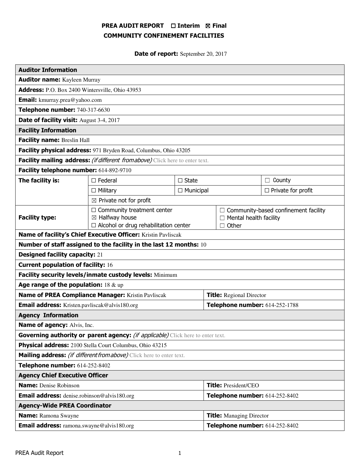# PREA AUDIT REPORT □ Interim 図 Final COMMUNITY CONFINEMENT FACILITIES

Date of report: September 20, 2017

| <b>Auditor Information</b>                                                             |                                                                                                                |                  |                                 |                                                                                                 |                           |  |
|----------------------------------------------------------------------------------------|----------------------------------------------------------------------------------------------------------------|------------------|---------------------------------|-------------------------------------------------------------------------------------------------|---------------------------|--|
| <b>Auditor name:</b> Kayleen Murray                                                    |                                                                                                                |                  |                                 |                                                                                                 |                           |  |
| Address: P.O. Box 2400 Wintersville, Ohio 43953                                        |                                                                                                                |                  |                                 |                                                                                                 |                           |  |
| <b>Email:</b> kmurray.prea@yahoo.com                                                   |                                                                                                                |                  |                                 |                                                                                                 |                           |  |
| Telephone number: 740-317-6630                                                         |                                                                                                                |                  |                                 |                                                                                                 |                           |  |
| Date of facility visit: August 3-4, 2017                                               |                                                                                                                |                  |                                 |                                                                                                 |                           |  |
| <b>Facility Information</b>                                                            |                                                                                                                |                  |                                 |                                                                                                 |                           |  |
| Facility name: Breslin Hall                                                            |                                                                                                                |                  |                                 |                                                                                                 |                           |  |
| Facility physical address: 971 Bryden Road, Columbus, Ohio 43205                       |                                                                                                                |                  |                                 |                                                                                                 |                           |  |
| Facility mailing address: (if different from above) Click here to enter text.          |                                                                                                                |                  |                                 |                                                                                                 |                           |  |
| Facility telephone number: 614-892-9710                                                |                                                                                                                |                  |                                 |                                                                                                 |                           |  |
| The facility is:                                                                       | $\Box$ State<br>$\Box$ Federal                                                                                 |                  |                                 | County<br>$\Box$                                                                                |                           |  |
|                                                                                        | $\Box$ Military                                                                                                | $\Box$ Municipal |                                 |                                                                                                 | $\Box$ Private for profit |  |
|                                                                                        | $\boxtimes$ Private not for profit                                                                             |                  |                                 |                                                                                                 |                           |  |
| <b>Facility type:</b>                                                                  | $\Box$ Community treatment center<br>$\boxtimes$ Halfway house<br>$\Box$ Alcohol or drug rehabilitation center |                  |                                 | $\Box$ Community-based confinement facility<br>$\Box$ Mental health facility<br>Other<br>$\Box$ |                           |  |
| Name of facility's Chief Executive Officer: Kristin Pavliscak                          |                                                                                                                |                  |                                 |                                                                                                 |                           |  |
| Number of staff assigned to the facility in the last 12 months: 10                     |                                                                                                                |                  |                                 |                                                                                                 |                           |  |
| <b>Designed facility capacity: 21</b>                                                  |                                                                                                                |                  |                                 |                                                                                                 |                           |  |
| <b>Current population of facility: 16</b>                                              |                                                                                                                |                  |                                 |                                                                                                 |                           |  |
| Facility security levels/inmate custody levels: Minimum                                |                                                                                                                |                  |                                 |                                                                                                 |                           |  |
| Age range of the population: $18 \& up$                                                |                                                                                                                |                  |                                 |                                                                                                 |                           |  |
| Name of PREA Compliance Manager: Kristin Pavliscak                                     |                                                                                                                |                  | <b>Title:</b> Regional Director |                                                                                                 |                           |  |
| Email address: Kristen.pavliscak@alvis180.org                                          |                                                                                                                |                  | Telephone number: 614-252-1788  |                                                                                                 |                           |  |
| <b>Agency Information</b>                                                              |                                                                                                                |                  |                                 |                                                                                                 |                           |  |
| <b>Name of agency: Alvis, Inc.</b>                                                     |                                                                                                                |                  |                                 |                                                                                                 |                           |  |
| Governing authority or parent agency: <i>(if applicable)</i> Click here to enter text. |                                                                                                                |                  |                                 |                                                                                                 |                           |  |
| Physical address: 2100 Stella Court Columbus, Ohio 43215                               |                                                                                                                |                  |                                 |                                                                                                 |                           |  |
| Mailing address: (if different from above) Click here to enter text.                   |                                                                                                                |                  |                                 |                                                                                                 |                           |  |
| Telephone number: 614-252-8402                                                         |                                                                                                                |                  |                                 |                                                                                                 |                           |  |
| <b>Agency Chief Executive Officer</b>                                                  |                                                                                                                |                  |                                 |                                                                                                 |                           |  |
| <b>Name:</b> Denise Robinson                                                           |                                                                                                                |                  | <b>Title: President/CEO</b>     |                                                                                                 |                           |  |
| <b>Email address:</b> denise.robinson@alvis180.org                                     |                                                                                                                |                  | Telephone number: 614-252-8402  |                                                                                                 |                           |  |
| <b>Agency-Wide PREA Coordinator</b>                                                    |                                                                                                                |                  |                                 |                                                                                                 |                           |  |
| <b>Name:</b> Ramona Swayne                                                             |                                                                                                                |                  | <b>Title:</b> Managing Director |                                                                                                 |                           |  |
| <b>Email address:</b> ramona.swayne@alvis180.org                                       |                                                                                                                |                  | Telephone number: 614-252-8402  |                                                                                                 |                           |  |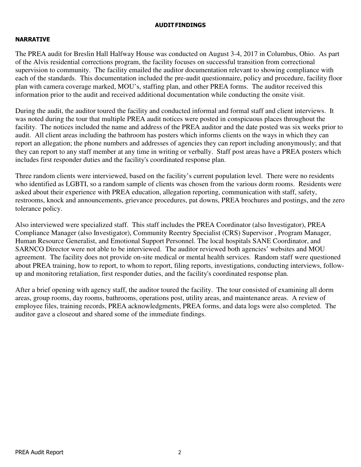## AUDIT FINDINGS

## NARRATIVE

The PREA audit for Breslin Hall Halfway House was conducted on August 3-4, 2017 in Columbus, Ohio. As part of the Alvis residential corrections program, the facility focuses on successful transition from correctional supervision to community. The facility emailed the auditor documentation relevant to showing compliance with each of the standards. This documentation included the pre-audit questionnaire, policy and procedure, facility floor plan with camera coverage marked, MOU's, staffing plan, and other PREA forms. The auditor received this information prior to the audit and received additional documentation while conducting the onsite visit.

During the audit, the auditor toured the facility and conducted informal and formal staff and client interviews. It was noted during the tour that multiple PREA audit notices were posted in conspicuous places throughout the facility. The notices included the name and address of the PREA auditor and the date posted was six weeks prior to audit. All client areas including the bathroom has posters which informs clients on the ways in which they can report an allegation; the phone numbers and addresses of agencies they can report including anonymously; and that they can report to any staff member at any time in writing or verbally. Staff post areas have a PREA posters which includes first responder duties and the facility's coordinated response plan.

Three random clients were interviewed, based on the facility's current population level. There were no residents who identified as LGBTI, so a random sample of clients was chosen from the various dorm rooms. Residents were asked about their experience with PREA education, allegation reporting, communication with staff, safety, restrooms, knock and announcements, grievance procedures, pat downs, PREA brochures and postings, and the zero tolerance policy.

Also interviewed were specialized staff. This staff includes the PREA Coordinator (also Investigator), PREA Compliance Manager (also Investigator), Community Reentry Specialist (CRS) Supervisor , Program Manager, Human Resource Generalist, and Emotional Support Personnel. The local hospitals SANE Coordinator, and SARNCO Director were not able to be interviewed. The auditor reviewed both agencies' websites and MOU agreement. The facility does not provide on-site medical or mental health services. Random staff were questioned about PREA training, how to report, to whom to report, filing reports, investigations, conducting interviews, followup and monitoring retaliation, first responder duties, and the facility's coordinated response plan.

After a brief opening with agency staff, the auditor toured the facility. The tour consisted of examining all dorm areas, group rooms, day rooms, bathrooms, operations post, utility areas, and maintenance areas. A review of employee files, training records, PREA acknowledgments, PREA forms, and data logs were also completed. The auditor gave a closeout and shared some of the immediate findings.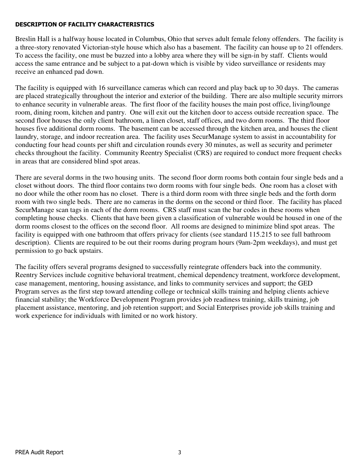## DESCRIPTION OF FACILITY CHARACTERISTICS

Breslin Hall is a halfway house located in Columbus, Ohio that serves adult female felony offenders. The facility is a three-story renovated Victorian-style house which also has a basement. The facility can house up to 21 offenders. To access the facility, one must be buzzed into a lobby area where they will be sign-in by staff. Clients would access the same entrance and be subject to a pat-down which is visible by video surveillance or residents may receive an enhanced pad down.

The facility is equipped with 16 surveillance cameras which can record and play back up to 30 days. The cameras are placed strategically throughout the interior and exterior of the building. There are also multiple security mirrors to enhance security in vulnerable areas. The first floor of the facility houses the main post office, living/lounge room, dining room, kitchen and pantry. One will exit out the kitchen door to access outside recreation space. The second floor houses the only client bathroom, a linen closet, staff offices, and two dorm rooms. The third floor houses five additional dorm rooms. The basement can be accessed through the kitchen area, and houses the client laundry, storage, and indoor recreation area. The facility uses SecurManage system to assist in accountability for conducting four head counts per shift and circulation rounds every 30 minutes, as well as security and perimeter checks throughout the facility. Community Reentry Specialist (CRS) are required to conduct more frequent checks in areas that are considered blind spot areas.

There are several dorms in the two housing units. The second floor dorm rooms both contain four single beds and a closet without doors. The third floor contains two dorm rooms with four single beds. One room has a closet with no door while the other room has no closet. There is a third dorm room with three single beds and the forth dorm room with two single beds. There are no cameras in the dorms on the second or third floor. The facility has placed SecurManage scan tags in each of the dorm rooms. CRS staff must scan the bar codes in these rooms when completing house checks. Clients that have been given a classification of vulnerable would be housed in one of the dorm rooms closest to the offices on the second floor. All rooms are designed to minimize blind spot areas. The facility is equipped with one bathroom that offers privacy for clients (see standard 115.215 to see full bathroom description). Clients are required to be out their rooms during program hours (9am-2pm weekdays), and must get permission to go back upstairs.

The facility offers several programs designed to successfully reintegrate offenders back into the community. Reentry Services include cognitive behavioral treatment, chemical dependency treatment, workforce development, case management, mentoring, housing assistance, and links to community services and support; the GED Program serves as the first step toward attending college or technical skills training and helping clients achieve financial stability; the Workforce Development Program provides job readiness training, skills training, job placement assistance, mentoring, and job retention support; and Social Enterprises provide job skills training and work experience for individuals with limited or no work history.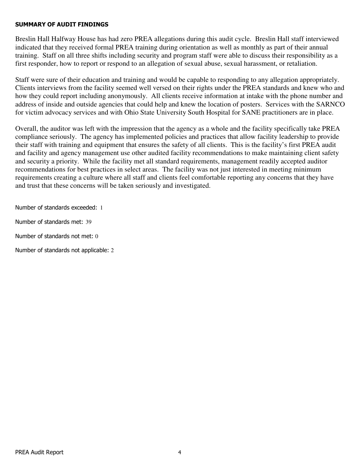## SUMMARY OF AUDIT FINDINGS

Breslin Hall Halfway House has had zero PREA allegations during this audit cycle. Breslin Hall staff interviewed indicated that they received formal PREA training during orientation as well as monthly as part of their annual training. Staff on all three shifts including security and program staff were able to discuss their responsibility as a first responder, how to report or respond to an allegation of sexual abuse, sexual harassment, or retaliation.

Staff were sure of their education and training and would be capable to responding to any allegation appropriately. Clients interviews from the facility seemed well versed on their rights under the PREA standards and knew who and how they could report including anonymously. All clients receive information at intake with the phone number and address of inside and outside agencies that could help and knew the location of posters. Services with the SARNCO for victim advocacy services and with Ohio State University South Hospital for SANE practitioners are in place.

Overall, the auditor was left with the impression that the agency as a whole and the facility specifically take PREA compliance seriously. The agency has implemented policies and practices that allow facility leadership to provide their staff with training and equipment that ensures the safety of all clients. This is the facility's first PREA audit and facility and agency management use other audited facility recommendations to make maintaining client safety and security a priority. While the facility met all standard requirements, management readily accepted auditor recommendations for best practices in select areas. The facility was not just interested in meeting minimum requirements creating a culture where all staff and clients feel comfortable reporting any concerns that they have and trust that these concerns will be taken seriously and investigated.

Number of standards exceeded: 1

Number of standards met: 39

Number of standards not met: 0

Number of standards not applicable: 2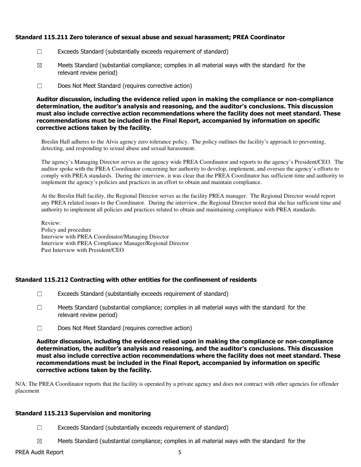## Standard 115.211 Zero tolerance of sexual abuse and sexual harassment; PREA Coordinator

- ☐ Exceeds Standard (substantially exceeds requirement of standard)
- $\boxtimes$  Meets Standard (substantial compliance; complies in all material ways with the standard for the relevant review period)
- ☐ Does Not Meet Standard (requires corrective action)

Auditor discussion, including the evidence relied upon in making the compliance or non-compliance determination, the auditor's analysis and reasoning, and the auditor's conclusions. This discussion must also include corrective action recommendations where the facility does not meet standard. These recommendations must be included in the Final Report, accompanied by information on specific corrective actions taken by the facility.

Breslin Hall adheres to the Alvis agency zero tolerance policy. The policy outlines the facility's approach to preventing, detecting, and responding to sexual abuse and sexual harassment.

The agency's Managing Director serves as the agency wide PREA Coordinator and reports to the agency's President/CEO. The auditor spoke with the PREA Coordinator concerning her authority to develop, implement, and oversee the agency's efforts to comply with PREA standards. During the interview, it was clear that the PREA Coordinator has sufficient time and authority to implement the agency's policies and practices in an effort to obtain and maintain compliance.

At the Breslin Hall facility, the Regional Director serves as the facility PREA manager. The Regional Director would report any PREA related issues to the Coordinator. During the interview, the Regional Director noted that she has sufficient time and authority to implement all policies and practices related to obtain and maintaining compliance with PREA standards.

Review: Policy and procedure Interview with PREA Coordinator/Managing Director Interview with PREA Compliance Manager/Regional Director Past Interview with President/CEO

## Standard 115.212 Contracting with other entities for the confinement of residents

- ☐ Exceeds Standard (substantially exceeds requirement of standard)
- $\Box$  Meets Standard (substantial compliance; complies in all material ways with the standard for the relevant review period)
- ☐ Does Not Meet Standard (requires corrective action)

Auditor discussion, including the evidence relied upon in making the compliance or non-compliance determination, the auditor's analysis and reasoning, and the auditor's conclusions. This discussion must also include corrective action recommendations where the facility does not meet standard. These recommendations must be included in the Final Report, accompanied by information on specific corrective actions taken by the facility.

N/A: The PREA Coordinator reports that the facility is operated by a private agency and does not contract with other agencies for offender placement

## Standard 115.213 Supervision and monitoring

- $\Box$  Exceeds Standard (substantially exceeds requirement of standard)
- $\boxtimes$  Meets Standard (substantial compliance; complies in all material ways with the standard for the

## PREA Audit Report 5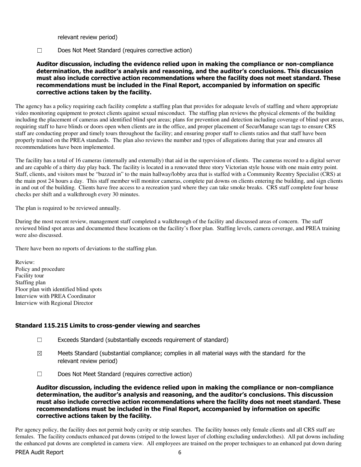relevant review period)

☐ Does Not Meet Standard (requires corrective action)

Auditor discussion, including the evidence relied upon in making the compliance or non-compliance determination, the auditor's analysis and reasoning, and the auditor's conclusions. This discussion must also include corrective action recommendations where the facility does not meet standard. These recommendations must be included in the Final Report, accompanied by information on specific corrective actions taken by the facility.

The agency has a policy requiring each facility complete a staffing plan that provides for adequate levels of staffing and where appropriate video monitoring equipment to protect clients against sexual misconduct. The staffing plan reviews the physical elements of the building including the placement of cameras and identified blind spot areas; plans for prevention and detection including coverage of blind spot areas, requiring staff to have blinds or doors open when clients are in the office, and proper placement of SecurManage scan tags to ensure CRS staff are conducting proper and timely tours throughout the facility; and ensuring proper staff to clients ratios and that staff have been properly trained on the PREA standards. The plan also reviews the number and types of allegations during that year and ensures all recommendations have been implemented.

The facility has a total of 16 cameras (internally and externally) that aid in the supervision of clients. The cameras record to a digital server and are capable of a thirty day play back. The facility is located in a renovated three story Victorian style house with one main entry point. Staff, clients, and visitors must be "buzzed in" to the main hallway/lobby area that is staffed with a Community Reentry Specialist (CRS) at the main post 24 hours a day. This staff member will monitor cameras, complete pat downs on clients entering the building, and sign clients in and out of the building. Clients have free access to a recreation yard where they can take smoke breaks. CRS staff complete four house checks per shift and a walkthrough every 30 minutes.

The plan is required to be reviewed annually.

During the most recent review, management staff completed a walkthrough of the facility and discussed areas of concern. The staff reviewed blind spot areas and documented these locations on the facility's floor plan. Staffing levels, camera coverage, and PREA training were also discussed.

There have been no reports of deviations to the staffing plan.

Review: Policy and procedure Facility tour Staffing plan Floor plan with identified blind spots Interview with PREA Coordinator Interview with Regional Director

## Standard 115.215 Limits to cross-gender viewing and searches

- ☐ Exceeds Standard (substantially exceeds requirement of standard)
- $\boxtimes$  Meets Standard (substantial compliance; complies in all material ways with the standard for the relevant review period)
- ☐ Does Not Meet Standard (requires corrective action)

Auditor discussion, including the evidence relied upon in making the compliance or non-compliance determination, the auditor's analysis and reasoning, and the auditor's conclusions. This discussion must also include corrective action recommendations where the facility does not meet standard. These recommendations must be included in the Final Report, accompanied by information on specific corrective actions taken by the facility.

Per agency policy, the facility does not permit body cavity or strip searches. The facility houses only female clients and all CRS staff are females. The facility conducts enhanced pat downs (striped to the lowest layer of clothing excluding underclothes). All pat downs including the enhanced pat downs are completed in camera view. All employees are trained on the proper techniques to an enhanced pat down during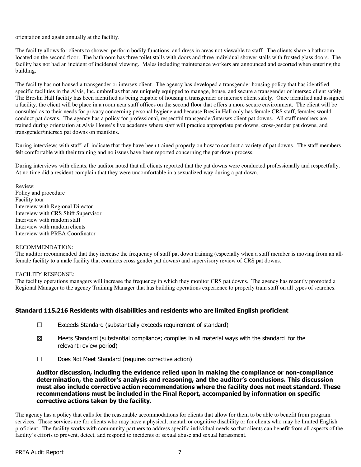orientation and again annually at the facility.

The facility allows for clients to shower, perform bodily functions, and dress in areas not viewable to staff. The clients share a bathroom located on the second floor. The bathroom has three toilet stalls with doors and three individual shower stalls with frosted glass doors. The facility has not had an incident of incidental viewing. Males including maintenance workers are announced and escorted when entering the building.

The facility has not housed a transgender or intersex client. The agency has developed a transgender housing policy that has identified specific facilities in the Alvis, Inc. umbrellas that are uniquely equipped to manage, house, and secure a transgender or intersex client safely. The Breslin Hall facility has been identified as being capable of housing a transgender or intersex client safely. Once identified and assigned a facility, the client will be place in a room near staff offices on the second floor that offers a more secure environment. The client will be consulted as to their needs for privacy concerning personal hygiene and because Breslin Hall only has female CRS staff, females would conduct pat downs. The agency has a policy for professional, respectful transgender/intersex client pat downs. All staff members are trained during orientation at Alvis House's live academy where staff will practice appropriate pat downs, cross-gender pat downs, and transgender/intersex pat downs on manikins.

During interviews with staff, all indicate that they have been trained properly on how to conduct a variety of pat downs. The staff members felt comfortable with their training and no issues have been reported concerning the pat down process.

During interviews with clients, the auditor noted that all clients reported that the pat downs were conducted professionally and respectfully. At no time did a resident complain that they were uncomfortable in a sexualized way during a pat down.

Review: Policy and procedure Facility tour Interview with Regional Director Interview with CRS Shift Supervisor Interview with random staff Interview with random clients Interview with PREA Coordinator

#### RECOMMENDATION:

The auditor recommended that they increase the frequency of staff pat down training (especially when a staff member is moving from an allfemale facility to a male facility that conducts cross gender pat downs) and supervisory review of CRS pat downs.

#### FACILITY RESPONSE:

The facility operations managers will increase the frequency in which they monitor CRS pat downs. The agency has recently promoted a Regional Manager to the agency Training Manager that has building operations experience to properly train staff on all types of searches.

## Standard 115.216 Residents with disabilities and residents who are limited English proficient

- ☐ Exceeds Standard (substantially exceeds requirement of standard)
- $\boxtimes$  Meets Standard (substantial compliance; complies in all material ways with the standard for the relevant review period)
- ☐ Does Not Meet Standard (requires corrective action)

Auditor discussion, including the evidence relied upon in making the compliance or non-compliance determination, the auditor's analysis and reasoning, and the auditor's conclusions. This discussion must also include corrective action recommendations where the facility does not meet standard. These recommendations must be included in the Final Report, accompanied by information on specific corrective actions taken by the facility.

The agency has a policy that calls for the reasonable accommodations for clients that allow for them to be able to benefit from program services. These services are for clients who may have a physical, mental, or cognitive disability or for clients who may be limited English proficient. The facility works with community partners to address specific individual needs so that clients can benefit from all aspects of the facility's efforts to prevent, detect, and respond to incidents of sexual abuse and sexual harassment.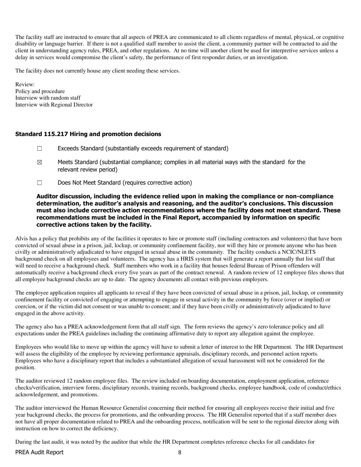The facility staff are instructed to ensure that all aspects of PREA are communicated to all clients regardless of mental, physical, or cognitive disability or language barrier. If there is not a qualified staff member to assist the client, a community partner will be contracted to aid the client in understanding agency rules, PREA, and other regulations. At no time will another client be used for interpretive services unless a delay in services would compromise the client's safety, the performance of first responder duties, or an investigation.

The facility does not currently house any client needing these services.

Review: Policy and procedure Interview with random staff Interview with Regional Director

#### Standard 115.217 Hiring and promotion decisions

- ☐ Exceeds Standard (substantially exceeds requirement of standard)
- $\boxtimes$  Meets Standard (substantial compliance; complies in all material ways with the standard for the relevant review period)
- ☐ Does Not Meet Standard (requires corrective action)

#### Auditor discussion, including the evidence relied upon in making the compliance or non-compliance determination, the auditor's analysis and reasoning, and the auditor's conclusions. This discussion must also include corrective action recommendations where the facility does not meet standard. These recommendations must be included in the Final Report, accompanied by information on specific corrective actions taken by the facility.

Alvis has a policy that prohibits any of the facilities it operates to hire or promote staff (including contractors and volunteers) that have been convicted of sexual abuse in a prison, jail, lockup, or community confinement facility, nor will they hire or promote anyone who has been civilly or administratively adjudicated to have engaged in sexual abuse in the community. The facility conducts a NCIC/NLETS background check on all employees and volunteers. The agency has a HRIS system that will generate a report annually that list staff that will need to receive a background check. Staff members who work in a facility that houses federal Bureau of Prison offenders will automatically receive a background check every five years as part of the contract renewal. A random review of 12 employee files shows that all employee background checks are up to date. The agency documents all contact with previous employers.

The employee application requires all applicants to reveal if they have been convicted of sexual abuse in a prison, jail, lockup, or community confinement facility or convicted of engaging or attempting to engage in sexual activity in the community by force (over or implied) or coercion, or if the victim did not consent or was unable to consent; and if they have been civilly or administratively adjudicated to have engaged in the above activity.

The agency also has a PREA acknowledgement form that all staff sign. The form reviews the agency's zero tolerance policy and all expectations under the PREA guidelines including the continuing affirmative duty to report any allegation against the employee.

Employees who would like to move up within the agency will have to submit a letter of interest to the HR Department. The HR Department will assess the eligibility of the employee by reviewing performance appraisals, disciplinary records, and personnel action reports. Employees who have a disciplinary report that includes a substantiated allegation of sexual harassment will not be considered for the position.

The auditor reviewed 12 random employee files. The review included on boarding documentation, employment application, reference checks/verification, interview forms, disciplinary records, training records, background checks, employee handbook, code of conduct/ethics acknowledgement, and promotions.

The auditor interviewed the Human Resource Generalist concerning their method for ensuring all employees receive their initial and five year background checks, the process for promotions, and the onboarding process. The HR Generalist reported that if a staff member does not have all proper documentation related to PREA and the onboarding process, notification will be sent to the regional director along with instruction on how to correct the deficiency.

During the last audit, it was noted by the auditor that while the HR Department completes reference checks for all candidates for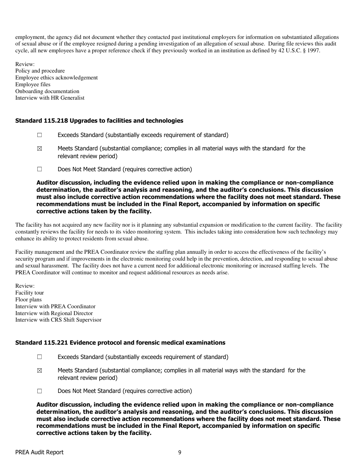employment, the agency did not document whether they contacted past institutional employers for information on substantiated allegations of sexual abuse or if the employee resigned during a pending investigation of an allegation of sexual abuse. During file reviews this audit cycle, all new employees have a proper reference check if they previously worked in an institution as defined by 42 U.S.C. § 1997.

Review: Policy and procedure Employee ethics acknowledgement Employee files Onboarding documentation Interview with HR Generalist

## Standard 115.218 Upgrades to facilities and technologies

- $\Box$  Exceeds Standard (substantially exceeds requirement of standard)
- $\boxtimes$  Meets Standard (substantial compliance; complies in all material ways with the standard for the relevant review period)
- ☐ Does Not Meet Standard (requires corrective action)

#### Auditor discussion, including the evidence relied upon in making the compliance or non-compliance determination, the auditor's analysis and reasoning, and the auditor's conclusions. This discussion must also include corrective action recommendations where the facility does not meet standard. These recommendations must be included in the Final Report, accompanied by information on specific corrective actions taken by the facility.

The facility has not acquired any new facility nor is it planning any substantial expansion or modification to the current facility. The facility constantly reviews the facility for needs to its video monitoring system. This includes taking into consideration how such technology may enhance its ability to protect residents from sexual abuse.

Facility management and the PREA Coordinator review the staffing plan annually in order to access the effectiveness of the facility's security program and if improvements in the electronic monitoring could help in the prevention, detection, and responding to sexual abuse and sexual harassment. The facility does not have a current need for additional electronic monitoring or increased staffing levels. The PREA Coordinator will continue to monitor and request additional resources as needs arise.

Review: Facility tour Floor plans Interview with PREA Coordinator Interview with Regional Director Interview with CRS Shift Supervisor

## Standard 115.221 Evidence protocol and forensic medical examinations

- ☐ Exceeds Standard (substantially exceeds requirement of standard)
- $\boxtimes$  Meets Standard (substantial compliance; complies in all material ways with the standard for the relevant review period)
- ☐ Does Not Meet Standard (requires corrective action)

Auditor discussion, including the evidence relied upon in making the compliance or non-compliance determination, the auditor's analysis and reasoning, and the auditor's conclusions. This discussion must also include corrective action recommendations where the facility does not meet standard. These recommendations must be included in the Final Report, accompanied by information on specific corrective actions taken by the facility.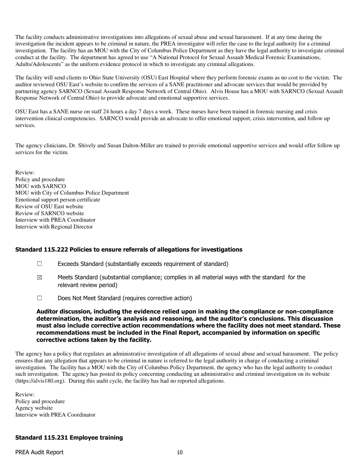The facility conducts administrative investigations into allegations of sexual abuse and sexual harassment. If at any time during the investigation the incident appears to be criminal in nature, the PREA investigator will refer the case to the legal authority for a criminal investigation. The facility has an MOU with the City of Columbus Police Department as they have the legal authority to investigate criminal conduct at the facility. The department has agreed to use "A National Protocol for Sexual Assault Medical Forensic Examinations, Adults/Adolescents" as the uniform evidence protocol in which to investigate any criminal allegations.

The facility will send clients to Ohio State University (OSU) East Hospital where they perform forensic exams as no cost to the victim. The auditor reviewed OSU East's website to confirm the services of a SANE practitioner and advocate services that would be provided by partnering agency SARNCO (Sexual Assault Response Network of Central Ohio). Alvis House has a MOU with SARNCO (Sexual Assault Response Network of Central Ohio) to provide advocate and emotional supportive services.

OSU East has a SANE nurse on staff 24 hours a day 7 days a week. These nurses have been trained in forensic nursing and crisis intervention clinical competencies. SARNCO would provide an advocate to offer emotional support, crisis intervention, and follow up services.

The agency clinicians, Dr. Shively and Susan Dalton-Miller are trained to provide emotional supportive services and would offer follow up services for the victim.

Review: Policy and procedure MOU with SARNCO MOU with City of Columbus Police Department Emotional support person certificate Review of OSU East website Review of SARNCO website Interview with PREA Coordinator Interview with Regional Director

## Standard 115.222 Policies to ensure referrals of allegations for investigations

- ☐ Exceeds Standard (substantially exceeds requirement of standard)
- $\boxtimes$  Meets Standard (substantial compliance; complies in all material ways with the standard for the relevant review period)
- ☐ Does Not Meet Standard (requires corrective action)

Auditor discussion, including the evidence relied upon in making the compliance or non-compliance determination, the auditor's analysis and reasoning, and the auditor's conclusions. This discussion must also include corrective action recommendations where the facility does not meet standard. These recommendations must be included in the Final Report, accompanied by information on specific corrective actions taken by the facility.

The agency has a policy that regulates an administrative investigation of all allegations of sexual abuse and sexual harassment. The policy ensures that any allegation that appears to be criminal in nature is referred to the legal authority in charge of conducting a criminal investigation. The facility has a MOU with the City of Columbus Policy Department, the agency who has the legal authority to conduct such investigation. The agency has posted its policy concerning conducting an administrative and criminal investigation on its website (https://alvis180.org). During this audit cycle, the facility has had no reported allegations.

Review: Policy and procedure Agency website Interview with PREA Coordinator

## Standard 115.231 Employee training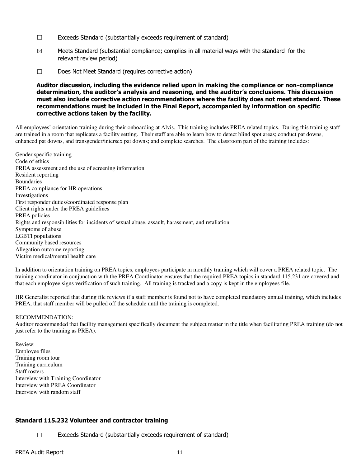- ☐ Exceeds Standard (substantially exceeds requirement of standard)
- $\boxtimes$  Meets Standard (substantial compliance; complies in all material ways with the standard for the relevant review period)
- ☐ Does Not Meet Standard (requires corrective action)

Auditor discussion, including the evidence relied upon in making the compliance or non-compliance determination, the auditor's analysis and reasoning, and the auditor's conclusions. This discussion must also include corrective action recommendations where the facility does not meet standard. These recommendations must be included in the Final Report, accompanied by information on specific corrective actions taken by the facility.

All employees' orientation training during their onboarding at Alvis. This training includes PREA related topics. During this training staff are trained in a room that replicates a facility setting. Their staff are able to learn how to detect blind spot areas; conduct pat downs, enhanced pat downs, and transgender/intersex pat downs; and complete searches. The classroom part of the training includes:

Gender specific training Code of ethics PREA assessment and the use of screening information Resident reporting Boundaries PREA compliance for HR operations Investigations First responder duties/coordinated response plan Client rights under the PREA guidelines PREA policies Rights and responsibilities for incidents of sexual abuse, assault, harassment, and retaliation Symptoms of abuse LGBTI populations Community based resources Allegation outcome reporting Victim medical/mental health care

In addition to orientation training on PREA topics, employees participate in monthly training which will cover a PREA related topic. The training coordinator in conjunction with the PREA Coordinator ensures that the required PREA topics in standard 115.231 are covered and that each employee signs verification of such training. All training is tracked and a copy is kept in the employees file.

HR Generalist reported that during file reviews if a staff member is found not to have completed mandatory annual training, which includes PREA, that staff member will be pulled off the schedule until the training is completed.

#### RECOMMENDATION:

Auditor recommended that facility management specifically document the subject matter in the title when facilitating PREA training (do not just refer to the training as PREA).

Review: Employee files Training room tour Training curriculum Staff rosters Interview with Training Coordinator Interview with PREA Coordinator Interview with random staff

## Standard 115.232 Volunteer and contractor training

☐ Exceeds Standard (substantially exceeds requirement of standard)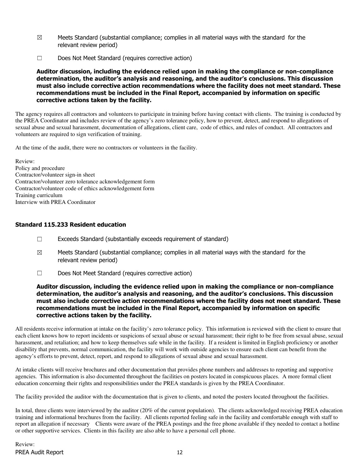- $\boxtimes$  Meets Standard (substantial compliance; complies in all material ways with the standard for the relevant review period)
- ☐ Does Not Meet Standard (requires corrective action)

Auditor discussion, including the evidence relied upon in making the compliance or non-compliance determination, the auditor's analysis and reasoning, and the auditor's conclusions. This discussion must also include corrective action recommendations where the facility does not meet standard. These recommendations must be included in the Final Report, accompanied by information on specific corrective actions taken by the facility.

The agency requires all contractors and volunteers to participate in training before having contact with clients. The training is conducted by the PREA Coordinator and includes review of the agency's zero tolerance policy, how to prevent, detect, and respond to allegations of sexual abuse and sexual harassment, documentation of allegations, client care, code of ethics, and rules of conduct. All contractors and volunteers are required to sign verification of training.

At the time of the audit, there were no contractors or volunteers in the facility.

Review: Policy and procedure Contractor/volunteer sign-in sheet Contractor/volunteer zero tolerance acknowledgement form Contractor/volunteer code of ethics acknowledgement form Training curriculum Interview with PREA Coordinator

## Standard 115.233 Resident education

- ☐ Exceeds Standard (substantially exceeds requirement of standard)
- $\boxtimes$  Meets Standard (substantial compliance; complies in all material ways with the standard for the relevant review period)
- ☐ Does Not Meet Standard (requires corrective action)

#### Auditor discussion, including the evidence relied upon in making the compliance or non-compliance determination, the auditor's analysis and reasoning, and the auditor's conclusions. This discussion must also include corrective action recommendations where the facility does not meet standard. These recommendations must be included in the Final Report, accompanied by information on specific corrective actions taken by the facility.

All residents receive information at intake on the facility's zero tolerance policy. This information is reviewed with the client to ensure that each client knows how to report incidents or suspicions of sexual abuse or sexual harassment; their right to be free from sexual abuse, sexual harassment, and retaliation; and how to keep themselves safe while in the facility. If a resident is limited in English proficiency or another disability that prevents, normal communication, the facility will work with outside agencies to ensure each client can benefit from the agency's efforts to prevent, detect, report, and respond to allegations of sexual abuse and sexual harassment.

At intake clients will receive brochures and other documentation that provides phone numbers and addresses to reporting and supportive agencies. This information is also documented throughout the facilities on posters located in conspicuous places. A more formal client education concerning their rights and responsibilities under the PREA standards is given by the PREA Coordinator.

The facility provided the auditor with the documentation that is given to clients, and noted the posters located throughout the facilities.

In total, three clients were interviewed by the auditor (20% of the current population). The clients acknowledged receiving PREA education training and informational brochures from the facility. All clients reported feeling safe in the facility and comfortable enough with staff to report an allegation if necessary Clients were aware of the PREA postings and the free phone available if they needed to contact a hotline or other supportive services. Clients in this facility are also able to have a personal cell phone.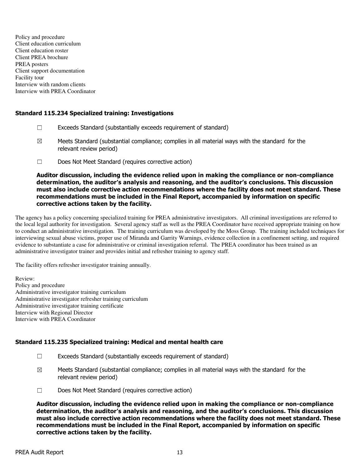Policy and procedure Client education curriculum Client education roster Client PREA brochure PREA posters Client support documentation Facility tour Interview with random clients Interview with PREA Coordinator

## Standard 115.234 Specialized training: Investigations

- ☐ Exceeds Standard (substantially exceeds requirement of standard)
- $\boxtimes$  Meets Standard (substantial compliance; complies in all material ways with the standard for the relevant review period)
- ☐ Does Not Meet Standard (requires corrective action)

Auditor discussion, including the evidence relied upon in making the compliance or non-compliance determination, the auditor's analysis and reasoning, and the auditor's conclusions. This discussion must also include corrective action recommendations where the facility does not meet standard. These recommendations must be included in the Final Report, accompanied by information on specific corrective actions taken by the facility.

The agency has a policy concerning specialized training for PREA administrative investigators. All criminal investigations are referred to the local legal authority for investigation. Several agency staff as well as the PREA Coordinator have received appropriate training on how to conduct an administrative investigation. The training curriculum was developed by the Moss Group. The training included techniques for interviewing sexual abuse victims, proper use of Miranda and Garrity Warnings, evidence collection in a confinement setting, and required evidence to substantiate a case for administrative or criminal investigation referral. The PREA coordinator has been trained as an administrative investigator trainer and provides initial and refresher training to agency staff.

The facility offers refresher investigator training annually.

Review: Policy and procedure Administrative investigator training curriculum Administrative investigator refresher training curriculum Administrative investigator training certificate Interview with Regional Director Interview with PREA Coordinator

## Standard 115.235 Specialized training: Medical and mental health care

- ☐ Exceeds Standard (substantially exceeds requirement of standard)
- $\boxtimes$  Meets Standard (substantial compliance; complies in all material ways with the standard for the relevant review period)
- ☐ Does Not Meet Standard (requires corrective action)

Auditor discussion, including the evidence relied upon in making the compliance or non-compliance determination, the auditor's analysis and reasoning, and the auditor's conclusions. This discussion must also include corrective action recommendations where the facility does not meet standard. These recommendations must be included in the Final Report, accompanied by information on specific corrective actions taken by the facility.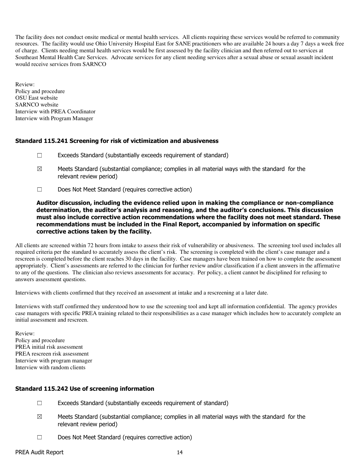The facility does not conduct onsite medical or mental health services. All clients requiring these services would be referred to community resources. The facility would use Ohio University Hospital East for SANE practitioners who are available 24 hours a day 7 days a week free of charge. Clients needing mental health services would be first assessed by the facility clinician and then referred out to services at Southeast Mental Health Care Services. Advocate services for any client needing services after a sexual abuse or sexual assault incident would receive services from SARNCO

Review: Policy and procedure OSU East website SARNCO website Interview with PREA Coordinator Interview with Program Manager

## Standard 115.241 Screening for risk of victimization and abusiveness

- ☐ Exceeds Standard (substantially exceeds requirement of standard)
- $\boxtimes$  Meets Standard (substantial compliance; complies in all material ways with the standard for the relevant review period)
- ☐ Does Not Meet Standard (requires corrective action)

Auditor discussion, including the evidence relied upon in making the compliance or non-compliance determination, the auditor's analysis and reasoning, and the auditor's conclusions. This discussion must also include corrective action recommendations where the facility does not meet standard. These recommendations must be included in the Final Report, accompanied by information on specific corrective actions taken by the facility.

All clients are screened within 72 hours from intake to assess their risk of vulnerability or abusiveness. The screening tool used includes all required criteria per the standard to accurately assess the client's risk. The screening is completed with the client's case manager and a rescreen is completed before the client reaches 30 days in the facility. Case managers have been trained on how to complete the assessment appropriately. Client's assessments are referred to the clinician for further review and/or classification if a client answers in the affirmative to any of the questions. The clinician also reviews assessments for accuracy. Per policy, a client cannot be disciplined for refusing to answers assessment questions.

Interviews with clients confirmed that they received an assessment at intake and a rescreening at a later date.

Interviews with staff confirmed they understood how to use the screening tool and kept all information confidential. The agency provides case managers with specific PREA training related to their responsibilities as a case manager which includes how to accurately complete an initial assessment and rescreen.

Review: Policy and procedure PREA initial risk assessment PREA rescreen risk assessment Interview with program manager Interview with random clients

## Standard 115.242 Use of screening information

- $\Box$  Exceeds Standard (substantially exceeds requirement of standard)
- $\boxtimes$  Meets Standard (substantial compliance; complies in all material ways with the standard for the relevant review period)
- ☐ Does Not Meet Standard (requires corrective action)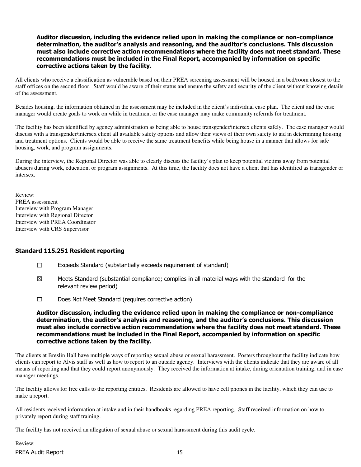#### Auditor discussion, including the evidence relied upon in making the compliance or non-compliance determination, the auditor's analysis and reasoning, and the auditor's conclusions. This discussion must also include corrective action recommendations where the facility does not meet standard. These recommendations must be included in the Final Report, accompanied by information on specific corrective actions taken by the facility.

All clients who receive a classification as vulnerable based on their PREA screening assessment will be housed in a bed/room closest to the staff offices on the second floor. Staff would be aware of their status and ensure the safety and security of the client without knowing details of the assessment.

Besides housing, the information obtained in the assessment may be included in the client's individual case plan. The client and the case manager would create goals to work on while in treatment or the case manager may make community referrals for treatment.

The facility has been identified by agency administration as being able to house transgender/intersex clients safely. The case manager would discuss with a transgender/intersex client all available safety options and allow their views of their own safety to aid in determining housing and treatment options. Clients would be able to receive the same treatment benefits while being house in a manner that allows for safe housing, work, and program assignments.

During the interview, the Regional Director was able to clearly discuss the facility's plan to keep potential victims away from potential abusers during work, education, or program assignments. At this time, the facility does not have a client that has identified as transgender or intersex.

Review: PREA assessment Interview with Program Manager Interview with Regional Director Interview with PREA Coordinator Interview with CRS Supervisor

#### Standard 115.251 Resident reporting

- ☐ Exceeds Standard (substantially exceeds requirement of standard)
- $\boxtimes$  Meets Standard (substantial compliance; complies in all material ways with the standard for the relevant review period)
- ☐ Does Not Meet Standard (requires corrective action)

Auditor discussion, including the evidence relied upon in making the compliance or non-compliance determination, the auditor's analysis and reasoning, and the auditor's conclusions. This discussion must also include corrective action recommendations where the facility does not meet standard. These recommendations must be included in the Final Report, accompanied by information on specific corrective actions taken by the facility.

The clients at Breslin Hall have multiple ways of reporting sexual abuse or sexual harassment. Posters throughout the facility indicate how clients can report to Alvis staff as well as how to report to an outside agency. Interviews with the clients indicate that they are aware of all means of reporting and that they could report anonymously. They received the information at intake, during orientation training, and in case manager meetings.

The facility allows for free calls to the reporting entities. Residents are allowed to have cell phones in the facility, which they can use to make a report.

All residents received information at intake and in their handbooks regarding PREA reporting. Staff received information on how to privately report during staff training.

The facility has not received an allegation of sexual abuse or sexual harassment during this audit cycle.

PREA Audit Report 15 Review: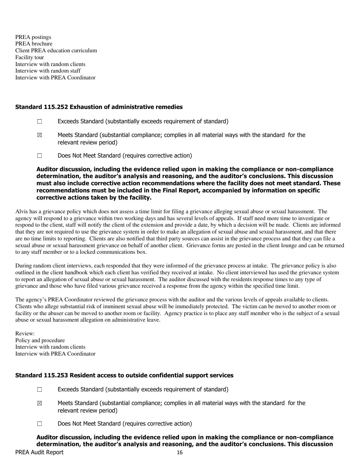PREA postings PREA brochure Client PREA education curriculum Facility tour Interview with random clients Interview with random staff Interview with PREA Coordinator

#### Standard 115.252 Exhaustion of administrative remedies

- ☐ Exceeds Standard (substantially exceeds requirement of standard)
- $\boxtimes$  Meets Standard (substantial compliance; complies in all material ways with the standard for the relevant review period)
- ☐ Does Not Meet Standard (requires corrective action)

Auditor discussion, including the evidence relied upon in making the compliance or non-compliance determination, the auditor's analysis and reasoning, and the auditor's conclusions. This discussion must also include corrective action recommendations where the facility does not meet standard. These recommendations must be included in the Final Report, accompanied by information on specific corrective actions taken by the facility.

Alvis has a grievance policy which does not assess a time limit for filing a grievance alleging sexual abuse or sexual harassment. The agency will respond to a grievance within two working days and has several levels of appeals. If staff need more time to investigate or respond to the client, staff will notify the client of the extension and provide a date, by which a decision will be made. Clients are informed that they are not required to use the grievance system in order to make an allegation of sexual abuse and sexual harassment, and that there are no time limits to reporting. Clients are also notified that third party sources can assist in the grievance process and that they can file a sexual abuse or sexual harassment grievance on behalf of another client. Grievance forms are posted in the client lounge and can be returned to any staff member or to a locked communications box.

During random client interviews, each responded that they were informed of the grievance process at intake. The grievance policy is also outlined in the client handbook which each client has verified they received at intake. No client interviewed has used the grievance system to report an allegation of sexual abuse or sexual harassment. The auditor discussed with the residents response times to any type of grievance and those who have filed various grievance received a response from the agency within the specified time limit.

The agency's PREA Coordinator reviewed the grievance process with the auditor and the various levels of appeals available to clients. Clients who allege substantial risk of imminent sexual abuse will be immediately protected. The victim can be moved to another room or facility or the abuser can be moved to another room or facility. Agency practice is to place any staff member who is the subject of a sexual abuse or sexual harassment allegation on administrative leave.

Review: Policy and procedure Interview with random clients Interview with PREA Coordinator

## Standard 115.253 Resident access to outside confidential support services

- $\Box$  Exceeds Standard (substantially exceeds requirement of standard)
- $\boxtimes$  Meets Standard (substantial compliance; complies in all material ways with the standard for the relevant review period)
- ☐ Does Not Meet Standard (requires corrective action)

Auditor discussion, including the evidence relied upon in making the compliance or non-compliance determination, the auditor's analysis and reasoning, and the auditor's conclusions. This discussion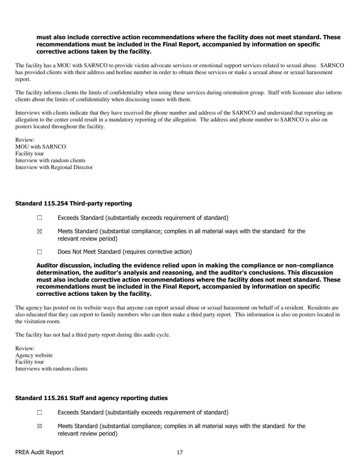#### must also include corrective action recommendations where the facility does not meet standard. These recommendations must be included in the Final Report, accompanied by information on specific corrective actions taken by the facility.

The facility has a MOU with SARNCO to provide victim advocate services or emotional support services related to sexual abuse. SARNCO has provided clients with their address and hotline number in order to obtain these services or make a sexual abuse or sexual harassment report.

The facility informs clients the limits of confidentiality when using these services during orientation group. Staff with licensure also inform clients about the limits of confidentiality when discussing issues with them.

Interviews with clients indicate that they have received the phone number and address of the SARNCO and understand that reporting an allegation to the center could result in a mandatory reporting of the allegation. The address and phone number to SARNCO is also on posters located throughout the facility.

Review: MOU with SARNCO Facility tour Interview with random clients Interview with Regional Director

## Standard 115.254 Third-party reporting

- $\Box$  Exceeds Standard (substantially exceeds requirement of standard)
- $\boxtimes$  Meets Standard (substantial compliance; complies in all material ways with the standard for the relevant review period)
- ☐ Does Not Meet Standard (requires corrective action)

Auditor discussion, including the evidence relied upon in making the compliance or non-compliance determination, the auditor's analysis and reasoning, and the auditor's conclusions. This discussion must also include corrective action recommendations where the facility does not meet standard. These recommendations must be included in the Final Report, accompanied by information on specific corrective actions taken by the facility.

The agency has posted on its website ways that anyone can report sexual abuse or sexual harassment on behalf of a resident. Residents are also educated that they can report to family members who can then make a third party report. This information is also on posters located in the visitation room.

The facility has not had a third party report during this audit cycle.

Review: Agency website Facility tour Interviews with random clients

## Standard 115.261 Staff and agency reporting duties

- ☐ Exceeds Standard (substantially exceeds requirement of standard)
- $\boxtimes$  Meets Standard (substantial compliance; complies in all material ways with the standard for the relevant review period)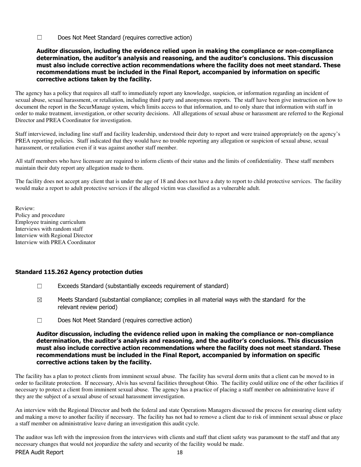☐ Does Not Meet Standard (requires corrective action)

#### Auditor discussion, including the evidence relied upon in making the compliance or non-compliance determination, the auditor's analysis and reasoning, and the auditor's conclusions. This discussion must also include corrective action recommendations where the facility does not meet standard. These recommendations must be included in the Final Report, accompanied by information on specific corrective actions taken by the facility.

The agency has a policy that requires all staff to immediately report any knowledge, suspicion, or information regarding an incident of sexual abuse, sexual harassment, or retaliation, including third party and anonymous reports. The staff have been give instruction on how to document the report in the SecurManage system, which limits access to that information, and to only share that information with staff in order to make treatment, investigation, or other security decisions. All allegations of sexual abuse or harassment are referred to the Regional Director and PREA Coordinator for investigation.

Staff interviewed, including line staff and facility leadership, understood their duty to report and were trained appropriately on the agency's PREA reporting policies. Staff indicated that they would have no trouble reporting any allegation or suspicion of sexual abuse, sexual harassment, or retaliation even if it was against another staff member.

All staff members who have licensure are required to inform clients of their status and the limits of confidentiality. These staff members maintain their duty report any allegation made to them.

The facility does not accept any client that is under the age of 18 and does not have a duty to report to child protective services. The facility would make a report to adult protective services if the alleged victim was classified as a vulnerable adult.

Review: Policy and procedure Employee training curriculum Interviews with random staff Interview with Regional Director Interview with PREA Coordinator

## Standard 115.262 Agency protection duties

- $\Box$  Exceeds Standard (substantially exceeds requirement of standard)
- $\boxtimes$  Meets Standard (substantial compliance; complies in all material ways with the standard for the relevant review period)
- ☐ Does Not Meet Standard (requires corrective action)

#### Auditor discussion, including the evidence relied upon in making the compliance or non-compliance determination, the auditor's analysis and reasoning, and the auditor's conclusions. This discussion must also include corrective action recommendations where the facility does not meet standard. These recommendations must be included in the Final Report, accompanied by information on specific corrective actions taken by the facility.

The facility has a plan to protect clients from imminent sexual abuse. The facility has several dorm units that a client can be moved to in order to facilitate protection. If necessary, Alvis has several facilities throughout Ohio. The facility could utilize one of the other facilities if necessary to protect a client from imminent sexual abuse. The agency has a practice of placing a staff member on administrative leave if they are the subject of a sexual abuse of sexual harassment investigation.

An interview with the Regional Director and both the federal and state Operations Managers discussed the process for ensuring client safety and making a move to another facility if necessary. The facility has not had to remove a client due to risk of imminent sexual abuse or place a staff member on administrative leave during an investigation this audit cycle.

The auditor was left with the impression from the interviews with clients and staff that client safety was paramount to the staff and that any necessary changes that would not jeopardize the safety and security of the facility would be made.

#### PREA Audit Report 18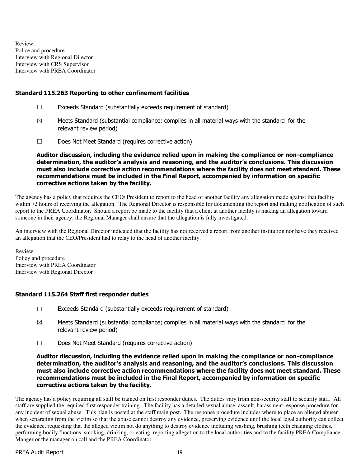Review: Police and procedure Interview with Regional Director Interview with CRS Supervisor Interview with PREA Coordinator

## Standard 115.263 Reporting to other confinement facilities

- ☐ Exceeds Standard (substantially exceeds requirement of standard)
- $\boxtimes$  Meets Standard (substantial compliance; complies in all material ways with the standard for the relevant review period)
- ☐ Does Not Meet Standard (requires corrective action)

Auditor discussion, including the evidence relied upon in making the compliance or non-compliance determination, the auditor's analysis and reasoning, and the auditor's conclusions. This discussion must also include corrective action recommendations where the facility does not meet standard. These recommendations must be included in the Final Report, accompanied by information on specific corrective actions taken by the facility.

The agency has a policy that requires the CEO/ President to report to the head of another facility any allegation made against that facility within 72 hours of receiving the allegation. The Regional Director is responsible for documenting the report and making notification of such report to the PREA Coordinator. Should a report be made to the facility that a client at another facility is making an allegation toward someone in their agency; the Regional Manager shall ensure that the allegation is fully investigated.

An interview with the Regional Director indicated that the facility has not received a report from another institution nor have they received an allegation that the CEO/President had to relay to the head of another facility.

Review: Policy and procedure Interview with PREA Coordinator Interview with Regional Director

## Standard 115.264 Staff first responder duties

- $\Box$  Exceeds Standard (substantially exceeds requirement of standard)
- $\boxtimes$  Meets Standard (substantial compliance; complies in all material ways with the standard for the relevant review period)
- ☐ Does Not Meet Standard (requires corrective action)

#### Auditor discussion, including the evidence relied upon in making the compliance or non-compliance determination, the auditor's analysis and reasoning, and the auditor's conclusions. This discussion must also include corrective action recommendations where the facility does not meet standard. These recommendations must be included in the Final Report, accompanied by information on specific corrective actions taken by the facility.

The agency has a policy requiring all staff be trained on first responder duties. The duties vary from non-security staff to security staff. All staff are supplied the required first responder training. The facility has a detailed sexual abuse, assault, harassment response procedure for any incident of sexual abuse. This plan is posted at the staff main post. The response procedure includes where to place an alleged abuser when separating from the victim so that the abuse cannot destroy any evidence, preserving evidence until the local legal authority can collect the evidence, requesting that the alleged victim not do anything to destroy evidence including washing, brushing teeth changing clothes, performing bodily functions, smoking, drinking, or eating, reporting allegation to the local authorities and to the facility PREA Compliance Manger or the manager on call and the PREA Coordinator.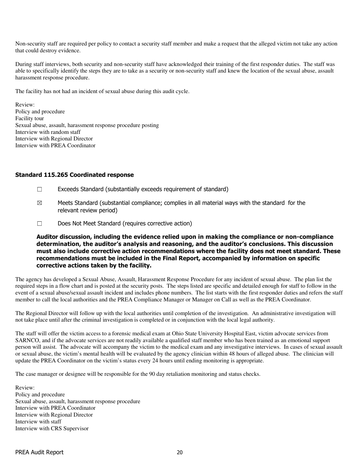Non-security staff are required per policy to contact a security staff member and make a request that the alleged victim not take any action that could destroy evidence.

During staff interviews, both security and non-security staff have acknowledged their training of the first responder duties. The staff was able to specifically identify the steps they are to take as a security or non-security staff and knew the location of the sexual abuse, assault harassment response procedure.

The facility has not had an incident of sexual abuse during this audit cycle.

Review: Policy and procedure Facility tour Sexual abuse, assault, harassment response procedure posting Interview with random staff Interview with Regional Director Interview with PREA Coordinator

#### Standard 115.265 Coordinated response

- ☐ Exceeds Standard (substantially exceeds requirement of standard)
- $\boxtimes$  Meets Standard (substantial compliance; complies in all material ways with the standard for the relevant review period)
- ☐ Does Not Meet Standard (requires corrective action)

Auditor discussion, including the evidence relied upon in making the compliance or non-compliance determination, the auditor's analysis and reasoning, and the auditor's conclusions. This discussion must also include corrective action recommendations where the facility does not meet standard. These recommendations must be included in the Final Report, accompanied by information on specific corrective actions taken by the facility.

The agency has developed a Sexual Abuse, Assault, Harassment Response Procedure for any incident of sexual abuse. The plan list the required steps in a flow chart and is posted at the security posts. The steps listed are specific and detailed enough for staff to follow in the event of a sexual abuse/sexual assault incident and includes phone numbers. The list starts with the first responder duties and refers the staff member to call the local authorities and the PREA Compliance Manager or Manager on Call as well as the PREA Coordinator.

The Regional Director will follow up with the local authorities until completion of the investigation. An administrative investigation will not take place until after the criminal investigation is completed or in conjunction with the local legal authority.

The staff will offer the victim access to a forensic medical exam at Ohio State University Hospital East, victim advocate services from SARNCO, and if the advocate services are not readily available a qualified staff member who has been trained as an emotional support person will assist. The advocate will accompany the victim to the medical exam and any investigative interviews. In cases of sexual assault or sexual abuse, the victim's mental health will be evaluated by the agency clinician within 48 hours of alleged abuse. The clinician will update the PREA Coordinator on the victim's status every 24 hours until ending monitoring is appropriate.

The case manager or designee will be responsible for the 90 day retaliation monitoring and status checks.

Review: Policy and procedure Sexual abuse, assault, harassment response procedure Interview with PREA Coordinator Interview with Regional Director Interview with staff Interview with CRS Supervisor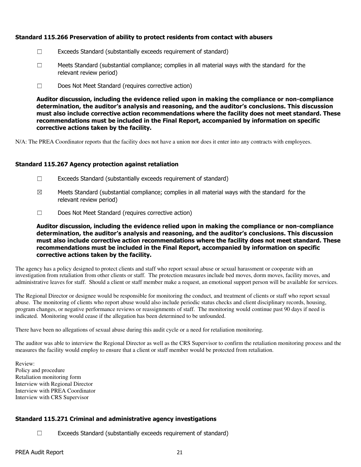## Standard 115.266 Preservation of ability to protect residents from contact with abusers

- ☐ Exceeds Standard (substantially exceeds requirement of standard)
- $\square$  Meets Standard (substantial compliance; complies in all material ways with the standard for the relevant review period)
- ☐ Does Not Meet Standard (requires corrective action)

Auditor discussion, including the evidence relied upon in making the compliance or non-compliance determination, the auditor's analysis and reasoning, and the auditor's conclusions. This discussion must also include corrective action recommendations where the facility does not meet standard. These recommendations must be included in the Final Report, accompanied by information on specific corrective actions taken by the facility.

N/A: The PREA Coordinator reports that the facility does not have a union nor does it enter into any contracts with employees.

## Standard 115.267 Agency protection against retaliation

- $\Box$  Exceeds Standard (substantially exceeds requirement of standard)
- $\boxtimes$  Meets Standard (substantial compliance; complies in all material ways with the standard for the relevant review period)
- ☐ Does Not Meet Standard (requires corrective action)

Auditor discussion, including the evidence relied upon in making the compliance or non-compliance determination, the auditor's analysis and reasoning, and the auditor's conclusions. This discussion must also include corrective action recommendations where the facility does not meet standard. These recommendations must be included in the Final Report, accompanied by information on specific corrective actions taken by the facility.

The agency has a policy designed to protect clients and staff who report sexual abuse or sexual harassment or cooperate with an investigation from retaliation from other clients or staff. The protection measures include bed moves, dorm moves, facility moves, and administrative leaves for staff. Should a client or staff member make a request, an emotional support person will be available for services.

The Regional Director or designee would be responsible for monitoring the conduct, and treatment of clients or staff who report sexual abuse. The monitoring of clients who report abuse would also include periodic status checks and client disciplinary records, housing, program changes, or negative performance reviews or reassignments of staff. The monitoring would continue past 90 days if need is indicated. Monitoring would cease if the allegation has been determined to be unfounded.

There have been no allegations of sexual abuse during this audit cycle or a need for retaliation monitoring.

The auditor was able to interview the Regional Director as well as the CRS Supervisor to confirm the retaliation monitoring process and the measures the facility would employ to ensure that a client or staff member would be protected from retaliation.

Review: Policy and procedure Retaliation monitoring form Interview with Regional Director Interview with PREA Coordinator Interview with CRS Supervisor

## Standard 115.271 Criminal and administrative agency investigations

☐ Exceeds Standard (substantially exceeds requirement of standard)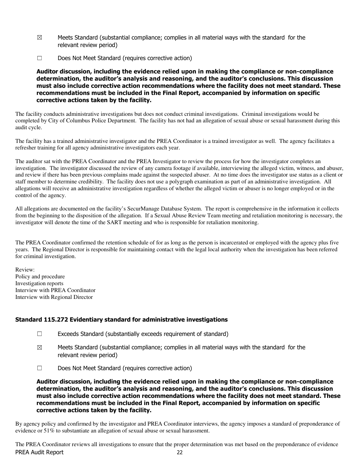- $\boxtimes$  Meets Standard (substantial compliance; complies in all material ways with the standard for the relevant review period)
- ☐ Does Not Meet Standard (requires corrective action)

Auditor discussion, including the evidence relied upon in making the compliance or non-compliance determination, the auditor's analysis and reasoning, and the auditor's conclusions. This discussion must also include corrective action recommendations where the facility does not meet standard. These recommendations must be included in the Final Report, accompanied by information on specific corrective actions taken by the facility.

The facility conducts administrative investigations but does not conduct criminal investigations. Criminal investigations would be completed by City of Columbus Police Department. The facility has not had an allegation of sexual abuse or sexual harassment during this audit cycle.

The facility has a trained administrative investigator and the PREA Coordinator is a trained investigator as well. The agency facilitates a refresher training for all agency administrative investigators each year.

The auditor sat with the PREA Coordinator and the PREA Investigator to review the process for how the investigator completes an investigation. The investigator discussed the review of any camera footage if available, interviewing the alleged victim, witness, and abuser, and review if there has been previous complains made against the suspected abuser. At no time does the investigator use status as a client or staff member to determine credibility. The facility does not use a polygraph examination as part of an administrative investigation. All allegations will receive an administrative investigation regardless of whether the alleged victim or abuser is no longer employed or in the control of the agency.

All allegations are documented on the facility's SecurManage Database System. The report is comprehensive in the information it collects from the beginning to the disposition of the allegation. If a Sexual Abuse Review Team meeting and retaliation monitoring is necessary, the investigator will denote the time of the SART meeting and who is responsible for retaliation monitoring.

The PREA Coordinator confirmed the retention schedule of for as long as the person is incarcerated or employed with the agency plus five years. The Regional Director is responsible for maintaining contact with the legal local authority when the investigation has been referred for criminal investigation.

Review: Policy and procedure Investigation reports Interview with PREA Coordinator Interview with Regional Director

## Standard 115.272 Evidentiary standard for administrative investigations

- ☐ Exceeds Standard (substantially exceeds requirement of standard)
- $\boxtimes$  Meets Standard (substantial compliance; complies in all material ways with the standard for the relevant review period)
- ☐ Does Not Meet Standard (requires corrective action)

Auditor discussion, including the evidence relied upon in making the compliance or non-compliance determination, the auditor's analysis and reasoning, and the auditor's conclusions. This discussion must also include corrective action recommendations where the facility does not meet standard. These recommendations must be included in the Final Report, accompanied by information on specific corrective actions taken by the facility.

By agency policy and confirmed by the investigator and PREA Coordinator interviews, the agency imposes a standard of preponderance of evidence or 51% to substantiate an allegation of sexual abuse or sexual harassment.

PREA Audit Report 22 The PREA Coordinator reviews all investigations to ensure that the proper determination was met based on the preponderance of evidence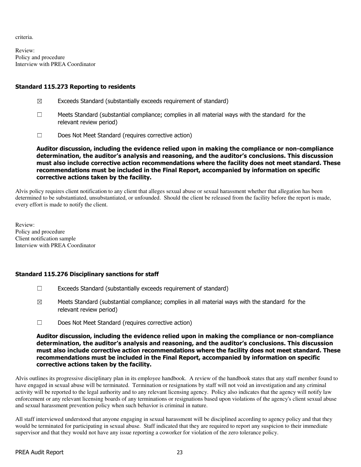criteria.

Review: Policy and procedure Interview with PREA Coordinator

## Standard 115.273 Reporting to residents

- $\boxtimes$  Exceeds Standard (substantially exceeds requirement of standard)
- $\Box$  Meets Standard (substantial compliance; complies in all material ways with the standard for the relevant review period)
- ☐ Does Not Meet Standard (requires corrective action)

Auditor discussion, including the evidence relied upon in making the compliance or non-compliance determination, the auditor's analysis and reasoning, and the auditor's conclusions. This discussion must also include corrective action recommendations where the facility does not meet standard. These recommendations must be included in the Final Report, accompanied by information on specific corrective actions taken by the facility.

Alvis policy requires client notification to any client that alleges sexual abuse or sexual harassment whether that allegation has been determined to be substantiated, unsubstantiated, or unfounded. Should the client be released from the facility before the report is made, every effort is made to notify the client.

Review: Policy and procedure Client notification sample Interview with PREA Coordinator

## Standard 115.276 Disciplinary sanctions for staff

- ☐ Exceeds Standard (substantially exceeds requirement of standard)
- $\boxtimes$  Meets Standard (substantial compliance; complies in all material ways with the standard for the relevant review period)
- ☐ Does Not Meet Standard (requires corrective action)

#### Auditor discussion, including the evidence relied upon in making the compliance or non-compliance determination, the auditor's analysis and reasoning, and the auditor's conclusions. This discussion must also include corrective action recommendations where the facility does not meet standard. These recommendations must be included in the Final Report, accompanied by information on specific corrective actions taken by the facility.

Alvis outlines its progressive disciplinary plan in its employee handbook. A review of the handbook states that any staff member found to have engaged in sexual abuse will be terminated. Termination or resignations by staff will not void an investigation and any criminal activity will be reported to the legal authority and to any relevant licensing agency. Policy also indicates that the agency will notify law enforcement or any relevant licensing boards of any terminations or resignations based upon violations of the agency's client sexual abuse and sexual harassment prevention policy when such behavior is criminal in nature.

All staff interviewed understood that anyone engaging in sexual harassment will be disciplined according to agency policy and that they would be terminated for participating in sexual abuse. Staff indicated that they are required to report any suspicion to their immediate supervisor and that they would not have any issue reporting a coworker for violation of the zero tolerance policy.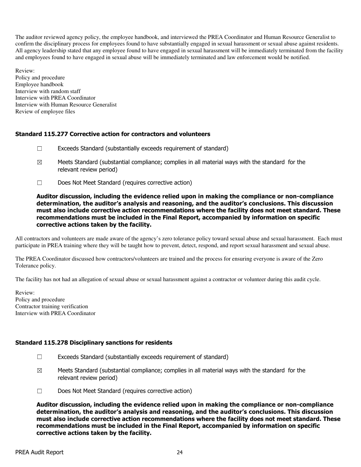The auditor reviewed agency policy, the employee handbook, and interviewed the PREA Coordinator and Human Resource Generalist to confirm the disciplinary process for employees found to have substantially engaged in sexual harassment or sexual abuse against residents. All agency leadership stated that any employee found to have engaged in sexual harassment will be immediately terminated from the facility and employees found to have engaged in sexual abuse will be immediately terminated and law enforcement would be notified.

Review: Policy and procedure Employee handbook Interview with random staff Interview with PREA Coordinator Interview with Human Resource Generalist Review of employee files

## Standard 115.277 Corrective action for contractors and volunteers

- $\Box$  Exceeds Standard (substantially exceeds requirement of standard)
- $\boxtimes$  Meets Standard (substantial compliance; complies in all material ways with the standard for the relevant review period)
- ☐ Does Not Meet Standard (requires corrective action)

#### Auditor discussion, including the evidence relied upon in making the compliance or non-compliance determination, the auditor's analysis and reasoning, and the auditor's conclusions. This discussion must also include corrective action recommendations where the facility does not meet standard. These recommendations must be included in the Final Report, accompanied by information on specific corrective actions taken by the facility.

All contractors and volunteers are made aware of the agency's zero tolerance policy toward sexual abuse and sexual harassment. Each must participate in PREA training where they will be taught how to prevent, detect, respond, and report sexual harassment and sexual abuse.

The PREA Coordinator discussed how contractors/volunteers are trained and the process for ensuring everyone is aware of the Zero Tolerance policy.

The facility has not had an allegation of sexual abuse or sexual harassment against a contractor or volunteer during this audit cycle.

Review: Policy and procedure Contractor training verification Interview with PREA Coordinator

## Standard 115.278 Disciplinary sanctions for residents

- ☐ Exceeds Standard (substantially exceeds requirement of standard)
- $\boxtimes$  Meets Standard (substantial compliance; complies in all material ways with the standard for the relevant review period)
- ☐ Does Not Meet Standard (requires corrective action)

Auditor discussion, including the evidence relied upon in making the compliance or non-compliance determination, the auditor's analysis and reasoning, and the auditor's conclusions. This discussion must also include corrective action recommendations where the facility does not meet standard. These recommendations must be included in the Final Report, accompanied by information on specific corrective actions taken by the facility.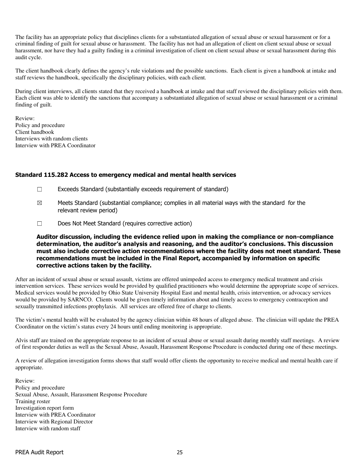The facility has an appropriate policy that disciplines clients for a substantiated allegation of sexual abuse or sexual harassment or for a criminal finding of guilt for sexual abuse or harassment. The facility has not had an allegation of client on client sexual abuse or sexual harassment, nor have they had a guilty finding in a criminal investigation of client on client sexual abuse or sexual harassment during this audit cycle.

The client handbook clearly defines the agency's rule violations and the possible sanctions. Each client is given a handbook at intake and staff reviews the handbook, specifically the disciplinary policies, with each client.

During client interviews, all clients stated that they received a handbook at intake and that staff reviewed the disciplinary policies with them. Each client was able to identify the sanctions that accompany a substantiated allegation of sexual abuse or sexual harassment or a criminal finding of guilt.

Review: Policy and procedure Client handbook Interviews with random clients Interview with PREA Coordinator

#### Standard 115.282 Access to emergency medical and mental health services

- $\Box$  Exceeds Standard (substantially exceeds requirement of standard)
- $\boxtimes$  Meets Standard (substantial compliance; complies in all material ways with the standard for the relevant review period)
- ☐ Does Not Meet Standard (requires corrective action)

Auditor discussion, including the evidence relied upon in making the compliance or non-compliance determination, the auditor's analysis and reasoning, and the auditor's conclusions. This discussion must also include corrective action recommendations where the facility does not meet standard. These recommendations must be included in the Final Report, accompanied by information on specific corrective actions taken by the facility.

After an incident of sexual abuse or sexual assault, victims are offered unimpeded access to emergency medical treatment and crisis intervention services. These services would be provided by qualified practitioners who would determine the appropriate scope of services. Medical services would be provided by Ohio State University Hospital East and mental health, crisis intervention, or advocacy services would be provided by SARNCO. Clients would be given timely information about and timely access to emergency contraception and sexually transmitted infections prophylaxis. All services are offered free of charge to clients.

The victim's mental health will be evaluated by the agency clinician within 48 hours of alleged abuse. The clinician will update the PREA Coordinator on the victim's status every 24 hours until ending monitoring is appropriate.

Alvis staff are trained on the appropriate response to an incident of sexual abuse or sexual assault during monthly staff meetings. A review of first responder duties as well as the Sexual Abuse, Assault, Harassment Response Procedure is conducted during one of these meetings.

A review of allegation investigation forms shows that staff would offer clients the opportunity to receive medical and mental health care if appropriate.

Review: Policy and procedure Sexual Abuse, Assault, Harassment Response Procedure Training roster Investigation report form Interview with PREA Coordinator Interview with Regional Director Interview with random staff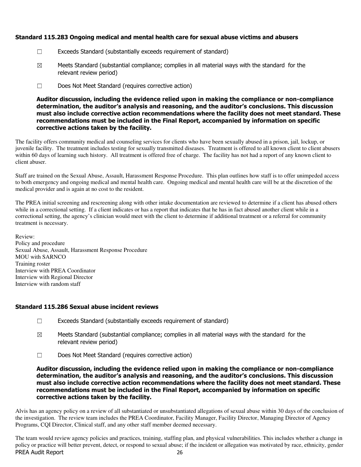## Standard 115.283 Ongoing medical and mental health care for sexual abuse victims and abusers

- ☐ Exceeds Standard (substantially exceeds requirement of standard)
- $\boxtimes$  Meets Standard (substantial compliance; complies in all material ways with the standard for the relevant review period)
- ☐ Does Not Meet Standard (requires corrective action)

Auditor discussion, including the evidence relied upon in making the compliance or non-compliance determination, the auditor's analysis and reasoning, and the auditor's conclusions. This discussion must also include corrective action recommendations where the facility does not meet standard. These recommendations must be included in the Final Report, accompanied by information on specific corrective actions taken by the facility.

The facility offers community medical and counseling services for clients who have been sexually abused in a prison, jail, lockup, or juvenile facility. The treatment includes testing for sexually transmitted diseases. Treatment is offered to all known client to client abusers within 60 days of learning such history. All treatment is offered free of charge. The facility has not had a report of any known client to client abuser.

Staff are trained on the Sexual Abuse, Assault, Harassment Response Procedure. This plan outlines how staff is to offer unimpeded access to both emergency and ongoing medical and mental health care. Ongoing medical and mental health care will be at the discretion of the medical provider and is again at no cost to the resident.

The PREA initial screening and rescreening along with other intake documentation are reviewed to determine if a client has abused others while in a correctional setting. If a client indicates or has a report that indicates that he has in fact abused another client while in a correctional setting, the agency's clinician would meet with the client to determine if additional treatment or a referral for community treatment is necessary.

Review: Policy and procedure Sexual Abuse, Assault, Harassment Response Procedure MOU with SARNCO Training roster Interview with PREA Coordinator Interview with Regional Director Interview with random staff

## Standard 115.286 Sexual abuse incident reviews

- ☐ Exceeds Standard (substantially exceeds requirement of standard)
- $\boxtimes$  Meets Standard (substantial compliance; complies in all material ways with the standard for the relevant review period)
- ☐ Does Not Meet Standard (requires corrective action)

Auditor discussion, including the evidence relied upon in making the compliance or non-compliance determination, the auditor's analysis and reasoning, and the auditor's conclusions. This discussion must also include corrective action recommendations where the facility does not meet standard. These recommendations must be included in the Final Report, accompanied by information on specific corrective actions taken by the facility.

Alvis has an agency policy on a review of all substantiated or unsubstantiated allegations of sexual abuse within 30 days of the conclusion of the investigation. The review team includes the PREA Coordinator, Facility Manager, Facility Director, Managing Director of Agency Programs, CQI Director, Clinical staff, and any other staff member deemed necessary.

PREA Audit Report 26 The team would review agency policies and practices, training, staffing plan, and physical vulnerabilities. This includes whether a change in policy or practice will better prevent, detect, or respond to sexual abuse; if the incident or allegation was motivated by race, ethnicity, gender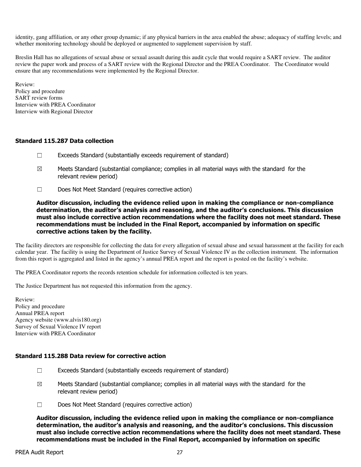identity, gang affiliation, or any other group dynamic; if any physical barriers in the area enabled the abuse; adequacy of staffing levels; and whether monitoring technology should be deployed or augmented to supplement supervision by staff.

Breslin Hall has no allegations of sexual abuse or sexual assault during this audit cycle that would require a SART review. The auditor review the paper work and process of a SART review with the Regional Director and the PREA Coordinator. The Coordinator would ensure that any recommendations were implemented by the Regional Director.

Review: Policy and procedure SART review forms Interview with PREA Coordinator Interview with Regional Director

## Standard 115.287 Data collection

- $\Box$  Exceeds Standard (substantially exceeds requirement of standard)
- $\boxtimes$  Meets Standard (substantial compliance; complies in all material ways with the standard for the relevant review period)
- ☐ Does Not Meet Standard (requires corrective action)

Auditor discussion, including the evidence relied upon in making the compliance or non-compliance determination, the auditor's analysis and reasoning, and the auditor's conclusions. This discussion must also include corrective action recommendations where the facility does not meet standard. These recommendations must be included in the Final Report, accompanied by information on specific corrective actions taken by the facility.

The facility directors are responsible for collecting the data for every allegation of sexual abuse and sexual harassment at the facility for each calendar year. The facility is using the Department of Justice Survey of Sexual Violence IV as the collection instrument. The information from this report is aggregated and listed in the agency's annual PREA report and the report is posted on the facility's website.

The PREA Coordinator reports the records retention schedule for information collected is ten years.

The Justice Department has not requested this information from the agency.

Review: Policy and procedure Annual PREA report Agency website (www.alvis180.org) Survey of Sexual Violence IV report Interview with PREA Coordinator

#### Standard 115.288 Data review for corrective action

- ☐ Exceeds Standard (substantially exceeds requirement of standard)
- $\boxtimes$  Meets Standard (substantial compliance; complies in all material ways with the standard for the relevant review period)
- ☐ Does Not Meet Standard (requires corrective action)

Auditor discussion, including the evidence relied upon in making the compliance or non-compliance determination, the auditor's analysis and reasoning, and the auditor's conclusions. This discussion must also include corrective action recommendations where the facility does not meet standard. These recommendations must be included in the Final Report, accompanied by information on specific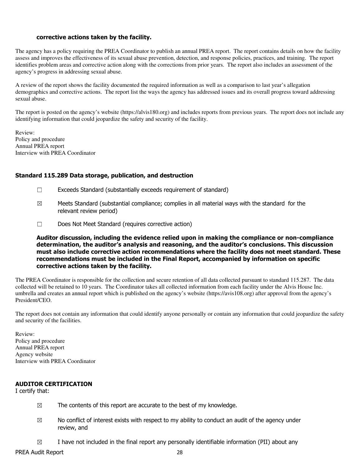#### corrective actions taken by the facility.

The agency has a policy requiring the PREA Coordinator to publish an annual PREA report. The report contains details on how the facility assess and improves the effectiveness of its sexual abuse prevention, detection, and response policies, practices, and training. The report identifies problem areas and corrective action along with the corrections from prior years. The report also includes an assessment of the agency's progress in addressing sexual abuse.

A review of the report shows the facility documented the required information as well as a comparison to last year's allegation demographics and corrective actions. The report list the ways the agency has addressed issues and its overall progress toward addressing sexual abuse.

The report is posted on the agency's website (https://alvis180.org) and includes reports from previous years. The report does not include any identifying information that could jeopardize the safety and security of the facility.

Review: Policy and procedure Annual PREA report Interview with PREA Coordinator

#### Standard 115.289 Data storage, publication, and destruction

- $\Box$  Exceeds Standard (substantially exceeds requirement of standard)
- $\boxtimes$  Meets Standard (substantial compliance; complies in all material ways with the standard for the relevant review period)
- ☐ Does Not Meet Standard (requires corrective action)

Auditor discussion, including the evidence relied upon in making the compliance or non-compliance determination, the auditor's analysis and reasoning, and the auditor's conclusions. This discussion must also include corrective action recommendations where the facility does not meet standard. These recommendations must be included in the Final Report, accompanied by information on specific corrective actions taken by the facility.

The PREA Coordinator is responsible for the collection and secure retention of all data collected pursuant to standard 115.287. The data collected will be retained to 10 years. The Coordinator takes all collected information from each facility under the Alvis House Inc. umbrella and creates an annual report which is published on the agency's website (https://avis108.org) after approval from the agency's President/CEO.

The report does not contain any information that could identify anyone personally or contain any information that could jeopardize the safety and security of the facilities.

Review: Policy and procedure Annual PREA report Agency website Interview with PREA Coordinator

## AUDITOR CERTIFICATION

I certify that:

- $\boxtimes$  The contents of this report are accurate to the best of my knowledge.
- $\boxtimes$  No conflict of interest exists with respect to my ability to conduct an audit of the agency under review, and
- $\boxtimes$  I have not included in the final report any personally identifiable information (PII) about any

PREA Audit Report 28